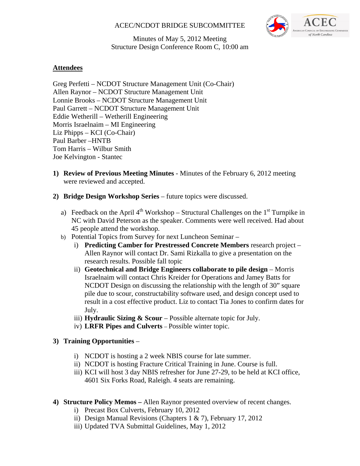## ACEC/NCDOT BRIDGE SUBCOMMITTEE



Minutes of May 5, 2012 Meeting Structure Design Conference Room C, 10:00 am

# **Attendees**

Greg Perfetti – NCDOT Structure Management Unit (Co-Chair) Allen Raynor – NCDOT Structure Management Unit Lonnie Brooks – NCDOT Structure Management Unit Paul Garrett – NCDOT Structure Management Unit Eddie Wetherill – Wetherill Engineering Morris Israelnaim – MI Engineering Liz Phipps – KCI (Co-Chair) Paul Barber –HNTB Tom Harris – Wilbur Smith Joe Kelvington - Stantec

- **1) Review of Previous Meeting Minutes** Minutes of the February 6, 2012 meeting were reviewed and accepted.
- **2) Bridge Design Workshop Series** future topics were discussed.
	- a) Feedback on the April  $4<sup>th</sup>$  Workshop Structural Challenges on the  $1<sup>st</sup>$  Turnpike in NC with David Peterson as the speaker. Comments were well received. Had about 45 people attend the workshop.
	- b) Potential Topics from Survey for next Luncheon Seminar
		- i) **Predicting Camber for Prestressed Concrete Members** research project Allen Raynor will contact Dr. Sami Rizkalla to give a presentation on the research results. Possible fall topic
		- ii) **Geotechnical and Bridge Engineers collaborate to pile design** Morris Israelnaim will contact Chris Kreider for Operations and Jamey Batts for NCDOT Design on discussing the relationship with the length of 30" square pile due to scour, constructability software used, and design concept used to result in a cost effective product. Liz to contact Tia Jones to confirm dates for July.
		- iii) **Hydraulic Sizing & Scour**  Possible alternate topic for July.
		- iv) **LRFR Pipes and Culverts**  Possible winter topic.

## **3) Training Opportunities** –

- i) NCDOT is hosting a 2 week NBIS course for late summer.
- ii) NCDOT is hosting Fracture Critical Training in June. Course is full.
- iii) KCI will host 3 day NBIS refresher for June 27-29, to be held at KCI office, 4601 Six Forks Road, Raleigh. 4 seats are remaining.
- **4) Structure Policy Memos** Allen Raynor presented overview of recent changes.
	- i) Precast Box Culverts, February 10, 2012
	- ii) Design Manual Revisions (Chapters 1 & 7), February 17, 2012
	- iii) Updated TVA Submittal Guidelines, May 1, 2012